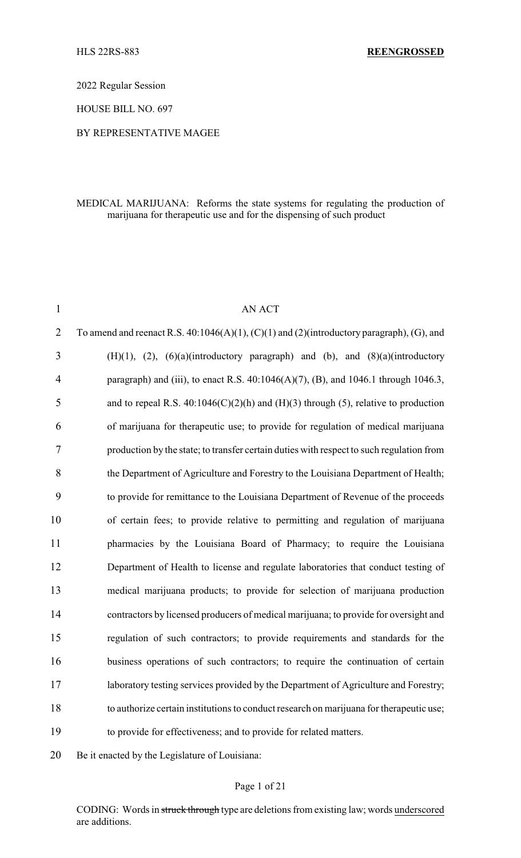2022 Regular Session

HOUSE BILL NO. 697

## BY REPRESENTATIVE MAGEE

## MEDICAL MARIJUANA: Reforms the state systems for regulating the production of marijuana for therapeutic use and for the dispensing of such product

| $\mathbf{1}$   | <b>AN ACT</b>                                                                                        |
|----------------|------------------------------------------------------------------------------------------------------|
| $\overline{2}$ | To amend and reenact R.S. $40:1046(A)(1)$ , $(C)(1)$ and $(2)$ (introductory paragraph), $(G)$ , and |
| 3              | $(H)(1)$ , $(2)$ , $(6)(a)(introducing paragraph)$ and $(b)$ , and $(8)(a)(introducing$              |
| 4              | paragraph) and (iii), to enact R.S. $40:1046(A)(7)$ , (B), and 1046.1 through 1046.3,                |
| 5              | and to repeal R.S. $40:1046(C)(2)(h)$ and $(H)(3)$ through (5), relative to production               |
| 6              | of marijuana for therapeutic use; to provide for regulation of medical marijuana                     |
| 7              | production by the state; to transfer certain duties with respect to such regulation from             |
| 8              | the Department of Agriculture and Forestry to the Louisiana Department of Health;                    |
| 9              | to provide for remittance to the Louisiana Department of Revenue of the proceeds                     |
| 10             | of certain fees; to provide relative to permitting and regulation of marijuana                       |
| 11             | pharmacies by the Louisiana Board of Pharmacy; to require the Louisiana                              |
| 12             | Department of Health to license and regulate laboratories that conduct testing of                    |
| 13             | medical marijuana products; to provide for selection of marijuana production                         |
| 14             | contractors by licensed producers of medical marijuana; to provide for oversight and                 |
| 15             | regulation of such contractors; to provide requirements and standards for the                        |
| 16             | business operations of such contractors; to require the continuation of certain                      |
| 17             | laboratory testing services provided by the Department of Agriculture and Forestry;                  |
| 18             | to authorize certain institutions to conduct research on marijuana for therapeutic use;              |
| 19             | to provide for effectiveness; and to provide for related matters.                                    |
|                |                                                                                                      |

Be it enacted by the Legislature of Louisiana:

## Page 1 of 21

CODING: Words in struck through type are deletions from existing law; words underscored are additions.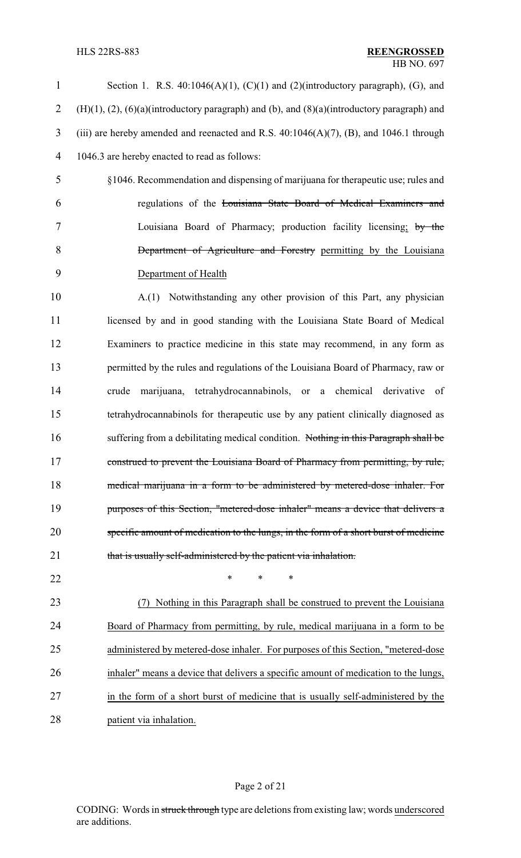| 1              | Section 1. R.S. $40:1046(A)(1)$ , $(C)(1)$ and $(2)$ (introductory paragraph), (G), and                    |
|----------------|------------------------------------------------------------------------------------------------------------|
| $\overline{2}$ | $(H)(1)$ , $(2)$ , $(6)(a)$ (introductory paragraph) and $(b)$ , and $(8)(a)$ (introductory paragraph) and |
| 3              | (iii) are hereby amended and reenacted and R.S. $40:1046(A)(7)$ , (B), and 1046.1 through                  |
| $\overline{4}$ | 1046.3 are hereby enacted to read as follows:                                                              |
| 5              | §1046. Recommendation and dispensing of marijuana for therapeutic use; rules and                           |
| 6              | regulations of the Louisiana State Board of Medical Examiners and                                          |
| 7              | Louisiana Board of Pharmacy; production facility licensing; by the                                         |
| 8              | Department of Agriculture and Forestry permitting by the Louisiana                                         |
| 9              | Department of Health                                                                                       |
| 10             | A.(1) Notwithstanding any other provision of this Part, any physician                                      |
| 11             | licensed by and in good standing with the Louisiana State Board of Medical                                 |
| 12             | Examiners to practice medicine in this state may recommend, in any form as                                 |
| 13             | permitted by the rules and regulations of the Louisiana Board of Pharmacy, raw or                          |
| 14             | marijuana, tetrahydrocannabinols, or a chemical derivative of<br>crude                                     |
| 15             | tetrahydrocannabinols for therapeutic use by any patient clinically diagnosed as                           |
| 16             | suffering from a debilitating medical condition. Nothing in this Paragraph shall be                        |
| 17             | construed to prevent the Louisiana Board of Pharmacy from permitting, by rule,                             |
| 18             | medical marijuana in a form to be administered by metered-dose inhaler. For                                |
| 19             | purposes of this Section, "metered-dose inhaler" means a device that delivers a                            |
| 20             | specific amount of medication to the lungs, in the form of a short burst of medicine                       |
| 21             | that is usually self-administered by the patient via inhalation.                                           |
| 22             | *<br>$\ast$<br>*                                                                                           |
| 23             | Nothing in this Paragraph shall be construed to prevent the Louisiana                                      |
| 24             | Board of Pharmacy from permitting, by rule, medical marijuana in a form to be                              |
| 25             | administered by metered-dose inhaler. For purposes of this Section, "metered-dose"                         |
| 26             | inhaler" means a device that delivers a specific amount of medication to the lungs,                        |
| 27             | in the form of a short burst of medicine that is usually self-administered by the                          |
| 28             | patient via inhalation.                                                                                    |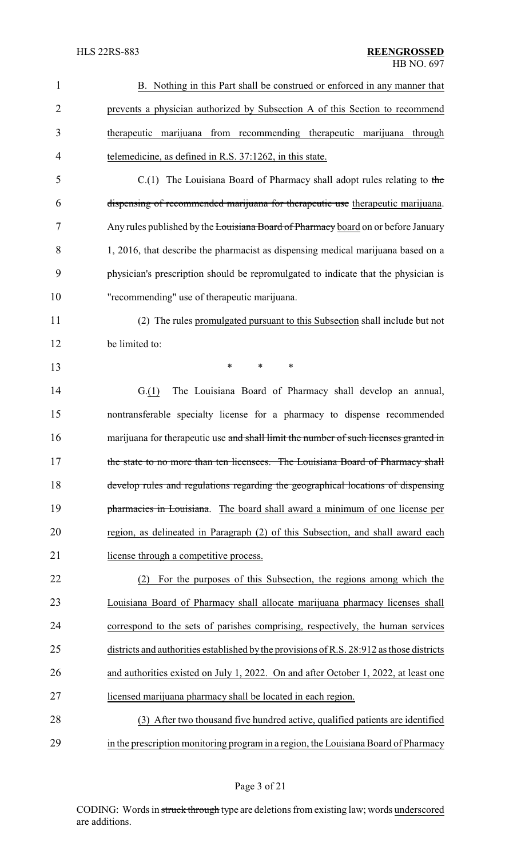| $\mathbf{1}$   | B. Nothing in this Part shall be construed or enforced in any manner that                 |
|----------------|-------------------------------------------------------------------------------------------|
| $\overline{2}$ | prevents a physician authorized by Subsection A of this Section to recommend              |
| 3              | therapeutic marijuana from recommending therapeutic marijuana through                     |
| 4              | telemedicine, as defined in R.S. 37:1262, in this state.                                  |
| 5              | $C(1)$ The Louisiana Board of Pharmacy shall adopt rules relating to the                  |
| 6              | dispensing of recommended marijuana for therapeutic use therapeutic marijuana.            |
| 7              | Any rules published by the Louisiana Board of Pharmacy board on or before January         |
| 8              | 1, 2016, that describe the pharmacist as dispensing medical marijuana based on a          |
| 9              | physician's prescription should be repromulgated to indicate that the physician is        |
| 10             | "recommending" use of therapeutic marijuana.                                              |
| 11             | (2) The rules promulgated pursuant to this Subsection shall include but not               |
| 12             | be limited to:                                                                            |
| 13             | *<br>$\ast$<br>$\ast$                                                                     |
| 14             | The Louisiana Board of Pharmacy shall develop an annual,<br>G(1)                          |
| 15             | nontransferable specialty license for a pharmacy to dispense recommended                  |
| 16             | marijuana for therapeutic use and shall limit the number of such licenses granted in      |
| 17             | the state to no more than ten licensees. The Louisiana Board of Pharmacy shall            |
| 18             | develop rules and regulations regarding the geographical locations of dispensing          |
| 19             | pharmacies in Louisiana. The board shall award a minimum of one license per               |
| 20             | region, as delineated in Paragraph (2) of this Subsection, and shall award each           |
| 21             | license through a competitive process.                                                    |
| 22             | For the purposes of this Subsection, the regions among which the<br>(2)                   |
| 23             | Louisiana Board of Pharmacy shall allocate marijuana pharmacy licenses shall              |
| 24             | correspond to the sets of parishes comprising, respectively, the human services           |
| 25             | districts and authorities established by the provisions of R.S. 28:912 as those districts |
| 26             | and authorities existed on July 1, 2022. On and after October 1, 2022, at least one       |
| 27             | licensed marijuana pharmacy shall be located in each region.                              |
| 28             | (3) After two thousand five hundred active, qualified patients are identified             |
| 29             | in the prescription monitoring program in a region, the Louisiana Board of Pharmacy       |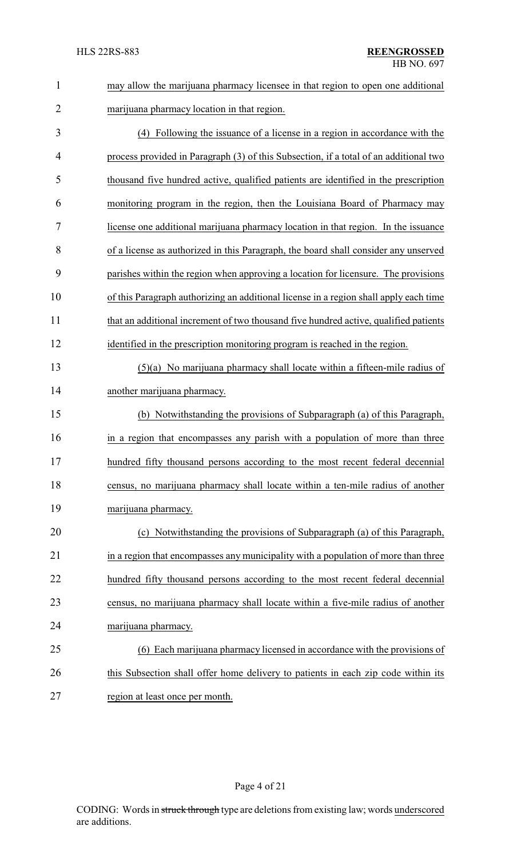| $\mathbf{1}$   | may allow the marijuana pharmacy licensee in that region to open one additional       |
|----------------|---------------------------------------------------------------------------------------|
| $\overline{2}$ | marijuana pharmacy location in that region.                                           |
| 3              | (4) Following the issuance of a license in a region in accordance with the            |
| $\overline{4}$ | process provided in Paragraph (3) of this Subsection, if a total of an additional two |
| 5              | thousand five hundred active, qualified patients are identified in the prescription   |
| 6              | monitoring program in the region, then the Louisiana Board of Pharmacy may            |
| 7              | license one additional marijuana pharmacy location in that region. In the issuance    |
| 8              | of a license as authorized in this Paragraph, the board shall consider any unserved   |
| 9              | parishes within the region when approving a location for licensure. The provisions    |
| 10             | of this Paragraph authorizing an additional license in a region shall apply each time |
| 11             | that an additional increment of two thousand five hundred active, qualified patients  |
| 12             | identified in the prescription monitoring program is reached in the region.           |
| 13             | $(5)(a)$ No marijuana pharmacy shall locate within a fifteen-mile radius of           |
| 14             | another marijuana pharmacy.                                                           |
| 15             | (b) Notwithstanding the provisions of Subparagraph (a) of this Paragraph,             |
| 16             | in a region that encompasses any parish with a population of more than three          |
| 17             | hundred fifty thousand persons according to the most recent federal decennial         |
| 18             | census, no marijuana pharmacy shall locate within a ten-mile radius of another        |
| 19             | marijuana pharmacy.                                                                   |
| 20             | (c) Notwithstanding the provisions of Subparagraph (a) of this Paragraph,             |
| 21             | in a region that encompasses any municipality with a population of more than three    |
| 22             | hundred fifty thousand persons according to the most recent federal decennial         |
| 23             | census, no marijuana pharmacy shall locate within a five-mile radius of another       |
| 24             | marijuana pharmacy.                                                                   |
| 25             | (6) Each marijuana pharmacy licensed in accordance with the provisions of             |
| 26             | this Subsection shall offer home delivery to patients in each zip code within its     |
| 27             | region at least once per month.                                                       |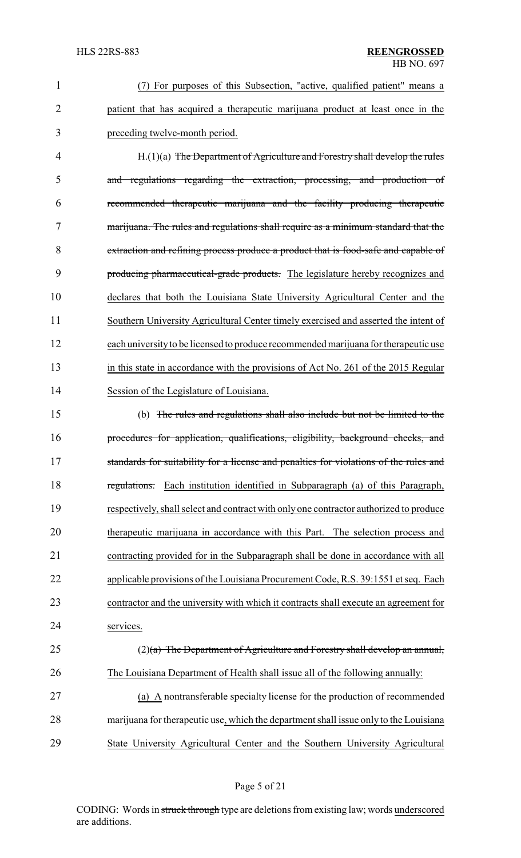| $\mathbf{1}$   | (7) For purposes of this Subsection, "active, qualified patient" means a               |
|----------------|----------------------------------------------------------------------------------------|
| $\overline{2}$ | patient that has acquired a therapeutic marijuana product at least once in the         |
| 3              | preceding twelve-month period.                                                         |
| 4              | $H(1)(a)$ The Department of Agriculture and Forestry shall develop the rules           |
| 5              | and regulations regarding the extraction, processing, and production of                |
| 6              | recommended therapeutic marijuana and the facility producing therapeutic               |
| 7              | marijuana. The rules and regulations shall require as a minimum standard that the      |
| 8              | extraction and refining process produce a product that is food-safe and capable of     |
| 9              | producing pharmaceutical-grade products. The legislature hereby recognizes and         |
| 10             | declares that both the Louisiana State University Agricultural Center and the          |
| 11             | Southern University Agricultural Center timely exercised and asserted the intent of    |
| 12             | each university to be licensed to produce recommended marijuana for therapeutic use    |
| 13             | in this state in accordance with the provisions of Act No. 261 of the 2015 Regular     |
| 14             | Session of the Legislature of Louisiana.                                               |
| 15             | (b) The rules and regulations shall also include but not be limited to the             |
| 16             | procedures for application, qualifications, eligibility, background checks, and        |
| 17             | standards for suitability for a license and penalties for violations of the rules and  |
| 18             | Each institution identified in Subparagraph (a) of this Paragraph,<br>regulations.     |
| 19             | respectively, shall select and contract with only one contractor authorized to produce |
| 20             | therapeutic marijuana in accordance with this Part. The selection process and          |
| 21             | contracting provided for in the Subparagraph shall be done in accordance with all      |
| 22             | applicable provisions of the Louisiana Procurement Code, R.S. 39:1551 et seq. Each     |
| 23             | contractor and the university with which it contracts shall execute an agreement for   |
| 24             | services.                                                                              |
| 25             | $(2)$ (a) The Department of Agriculture and Forestry shall develop an annual,          |
| 26             | The Louisiana Department of Health shall issue all of the following annually:          |
| 27             | (a) A nontransferable specialty license for the production of recommended              |
| 28             | marijuana for therapeutic use, which the department shall issue only to the Louisiana  |

29 State University Agricultural Center and the Southern University Agricultural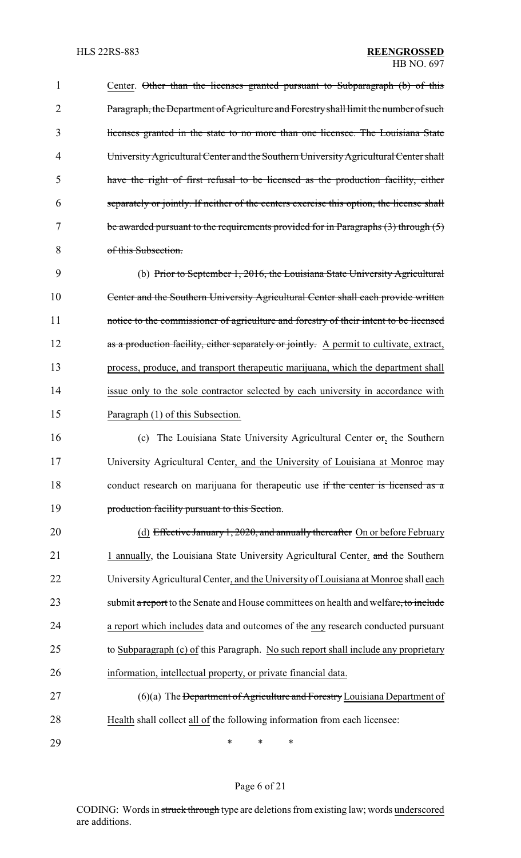| 1              | Center. Other than the licenses granted pursuant to Subparagraph (b) of this             |
|----------------|------------------------------------------------------------------------------------------|
| $\overline{2}$ | Paragraph, the Department of Agriculture and Forestry shall limit the number of such     |
| 3              | licenses granted in the state to no more than one licensee. The Louisiana State          |
| 4              | University Agricultural Center and the Southern University Agricultural Center shall     |
| 5              | have the right of first refusal to be licensed as the production facility, either        |
| 6              | separately or jointly. If neither of the centers exercise this option, the license shall |
| 7              | be awarded pursuant to the requirements provided for in Paragraphs $(3)$ through $(5)$   |
| 8              | of this Subsection.                                                                      |
| 9              | (b) Prior to September 1, 2016, the Louisiana State University Agricultural              |
| 10             | Center and the Southern University Agricultural Center shall each provide written        |
| 11             | notice to the commissioner of agriculture and forestry of their intent to be licensed    |
| 12             | as a production facility, either separately or jointly. A permit to cultivate, extract,  |
| 13             | process, produce, and transport therapeutic marijuana, which the department shall        |
| 14             | issue only to the sole contractor selected by each university in accordance with         |
| 15             | Paragraph (1) of this Subsection.                                                        |
| 16             | The Louisiana State University Agricultural Center $\sigma r$ , the Southern<br>(c)      |
| 17             | University Agricultural Center, and the University of Louisiana at Monroe may            |
| 18             | conduct research on marijuana for therapeutic use if the center is licensed as a         |
| 19             | production facility pursuant to this Section.                                            |
| 20             | (d) Effective January 1, 2020, and annually thereafter On or before February             |
| 21             | 1 annually, the Louisiana State University Agricultural Center. and the Southern         |
| 22             | University Agricultural Center, and the University of Louisiana at Monroe shall each     |
| 23             | submit a report to the Senate and House committees on health and welfare, to include     |
| 24             | a report which includes data and outcomes of the any research conducted pursuant         |
| 25             | to Subparagraph (c) of this Paragraph. No such report shall include any proprietary      |
| 26             | information, intellectual property, or private financial data.                           |
| 27             | $(6)(a)$ The Department of Agriculture and Forestry Louisiana Department of              |
| 28             | Health shall collect all of the following information from each licensee:                |
| 29             | $\ast$<br>∗<br>*                                                                         |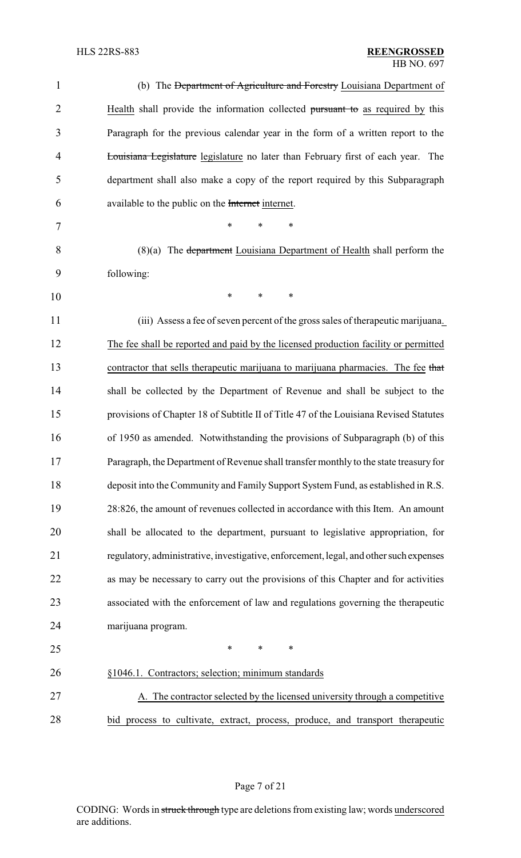| $\mathbf{1}$   | (b) The Department of Agriculture and Forestry Louisiana Department of                  |
|----------------|-----------------------------------------------------------------------------------------|
| $\overline{2}$ | Health shall provide the information collected pursuant to as required by this          |
| 3              | Paragraph for the previous calendar year in the form of a written report to the         |
| $\overline{4}$ | <b>Louisiana Legislature</b> legislature no later than February first of each year. The |
| 5              | department shall also make a copy of the report required by this Subparagraph           |
| 6              | available to the public on the Internet internet.                                       |
| 7              | *<br>*<br>∗                                                                             |
| 8              | $(8)(a)$ The department Louisiana Department of Health shall perform the                |
| 9              | following:                                                                              |
| 10             | $\ast$<br>*<br>*                                                                        |
| 11             | (iii) Assess a fee of seven percent of the gross sales of the rapeutic marijuana.       |
| 12             | The fee shall be reported and paid by the licensed production facility or permitted     |
| 13             | contractor that sells therapeutic marijuana to marijuana pharmacies. The fee that       |
| 14             | shall be collected by the Department of Revenue and shall be subject to the             |
| 15             | provisions of Chapter 18 of Subtitle II of Title 47 of the Louisiana Revised Statutes   |
| 16             | of 1950 as amended. Notwithstanding the provisions of Subparagraph (b) of this          |
| 17             | Paragraph, the Department of Revenue shall transfer monthly to the state treasury for   |
| 18             | deposit into the Community and Family Support System Fund, as established in R.S.       |
| 19             | 28:826, the amount of revenues collected in accordance with this Item. An amount        |
| 20             | shall be allocated to the department, pursuant to legislative appropriation, for        |
| 21             | regulatory, administrative, investigative, enforcement, legal, and other such expenses  |
| 22             | as may be necessary to carry out the provisions of this Chapter and for activities      |
| 23             | associated with the enforcement of law and regulations governing the therapeutic        |
| 24             | marijuana program.                                                                      |
| 25             | $\ast$<br>*<br>*                                                                        |
| 26             | §1046.1. Contractors; selection; minimum standards                                      |
| 27             | A. The contractor selected by the licensed university through a competitive             |
| 28             | bid process to cultivate, extract, process, produce, and transport therapeutic          |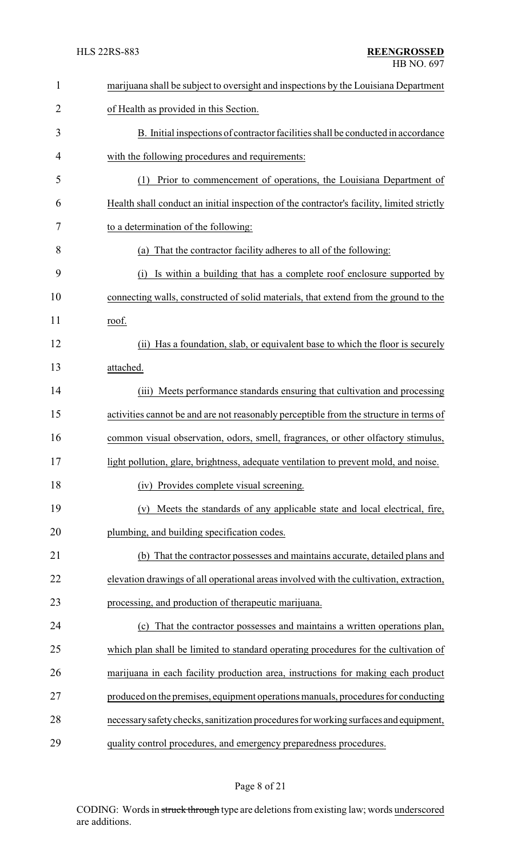| 1              | marijuana shall be subject to oversight and inspections by the Louisiana Department       |
|----------------|-------------------------------------------------------------------------------------------|
| $\overline{2}$ | of Health as provided in this Section.                                                    |
| 3              | B. Initial inspections of contractor facilities shall be conducted in accordance          |
| 4              | with the following procedures and requirements:                                           |
| 5              | Prior to commencement of operations, the Louisiana Department of<br>(1)                   |
| 6              | Health shall conduct an initial inspection of the contractor's facility, limited strictly |
| 7              | to a determination of the following:                                                      |
| 8              | (a) That the contractor facility adheres to all of the following:                         |
| 9              | Is within a building that has a complete roof enclosure supported by<br>(i)               |
| 10             | connecting walls, constructed of solid materials, that extend from the ground to the      |
| 11             | roof.                                                                                     |
| 12             | (ii) Has a foundation, slab, or equivalent base to which the floor is securely            |
| 13             | attached.                                                                                 |
| 14             | (iii) Meets performance standards ensuring that cultivation and processing                |
| 15             | activities cannot be and are not reasonably perceptible from the structure in terms of    |
| 16             | common visual observation, odors, smell, fragrances, or other olfactory stimulus,         |
| 17             | light pollution, glare, brightness, adequate ventilation to prevent mold, and noise       |
| 18             | (iv) Provides complete visual screening.                                                  |
| 19             | Meets the standards of any applicable state and local electrical, fire,<br>(v)            |
| 20             | plumbing, and building specification codes.                                               |
| 21             | (b) That the contractor possesses and maintains accurate, detailed plans and              |
| 22             | elevation drawings of all operational areas involved with the cultivation, extraction,    |
| 23             | processing, and production of therapeutic marijuana.                                      |
| 24             | (c) That the contractor possesses and maintains a written operations plan,                |
| 25             | which plan shall be limited to standard operating procedures for the cultivation of       |
| 26             | marijuana in each facility production area, instructions for making each product          |
| 27             | produced on the premises, equipment operations manuals, procedures for conducting         |
| 28             | necessary safety checks, sanitization procedures for working surfaces and equipment,      |
| 29             | quality control procedures, and emergency preparedness procedures.                        |

# Page 8 of 21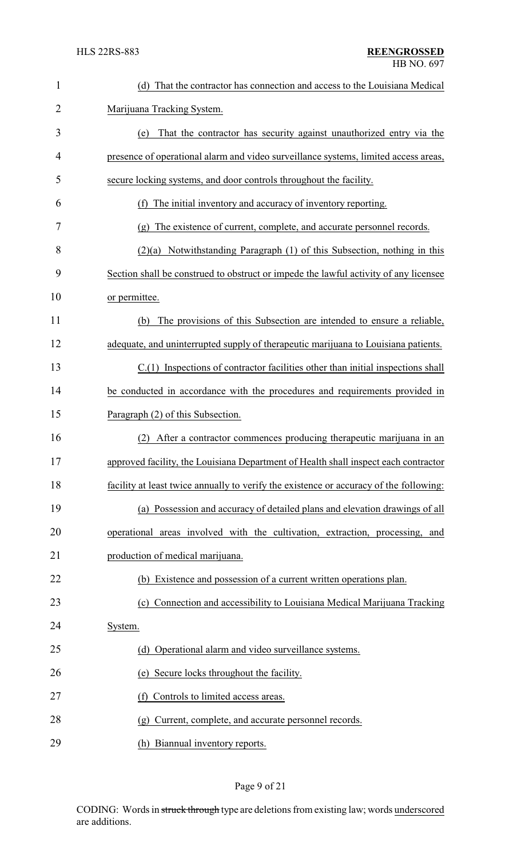| $\mathbf{1}$   | (d) That the contractor has connection and access to the Louisiana Medical             |
|----------------|----------------------------------------------------------------------------------------|
| $\overline{2}$ | Marijuana Tracking System.                                                             |
| 3              | That the contractor has security against unauthorized entry via the<br>(e)             |
| 4              | presence of operational alarm and video surveillance systems, limited access areas,    |
| 5              | secure locking systems, and door controls throughout the facility.                     |
| 6              | The initial inventory and accuracy of inventory reporting.<br>(f)                      |
| 7              | (g) The existence of current, complete, and accurate personnel records.                |
| 8              | $(2)(a)$ Notwithstanding Paragraph $(1)$ of this Subsection, nothing in this           |
| 9              | Section shall be construed to obstruct or impede the lawful activity of any licensee   |
| 10             | or permittee.                                                                          |
| 11             | The provisions of this Subsection are intended to ensure a reliable,<br>(b)            |
| 12             | adequate, and uninterrupted supply of therapeutic marijuana to Louisiana patients.     |
| 13             | $C(1)$ Inspections of contractor facilities other than initial inspections shall       |
| 14             | be conducted in accordance with the procedures and requirements provided in            |
| 15             | Paragraph (2) of this Subsection.                                                      |
| 16             | After a contractor commences producing therapeutic marijuana in an<br>(2)              |
| 17             | approved facility, the Louisiana Department of Health shall inspect each contractor    |
| 18             | facility at least twice annually to verify the existence or accuracy of the following: |
| 19             | (a) Possession and accuracy of detailed plans and elevation drawings of all            |
| 20             | operational areas involved with the cultivation, extraction, processing, and           |
| 21             | production of medical marijuana.                                                       |
| 22             | (b) Existence and possession of a current written operations plan.                     |
| 23             | Connection and accessibility to Louisiana Medical Marijuana Tracking<br>(c)            |
| 24             | System.                                                                                |
| 25             | Operational alarm and video surveillance systems.<br>(d)                               |
| 26             | Secure locks throughout the facility.<br>(e)                                           |
| 27             | Controls to limited access areas.<br>(f)                                               |
| 28             | Current, complete, and accurate personnel records.<br>(g)                              |
| 29             | (h) Biannual inventory reports.                                                        |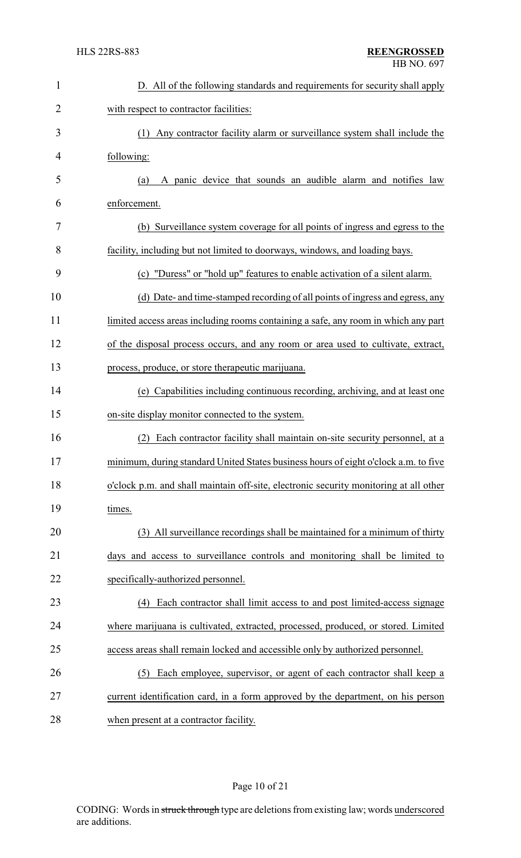| $\mathbf{1}$   | D. All of the following standards and requirements for security shall apply           |
|----------------|---------------------------------------------------------------------------------------|
| $\overline{2}$ | with respect to contractor facilities:                                                |
| 3              | (1) Any contractor facility alarm or surveillance system shall include the            |
| 4              | following:                                                                            |
| 5              | A panic device that sounds an audible alarm and notifies law<br>(a)                   |
| 6              | enforcement.                                                                          |
| 7              | (b) Surveillance system coverage for all points of ingress and egress to the          |
| 8              | facility, including but not limited to doorways, windows, and loading bays.           |
| 9              | (c) "Duress" or "hold up" features to enable activation of a silent alarm.            |
| 10             | (d) Date- and time-stamped recording of all points of ingress and egress, any         |
| 11             | limited access areas including rooms containing a safe, any room in which any part    |
| 12             | of the disposal process occurs, and any room or area used to cultivate, extract,      |
| 13             | process, produce, or store therapeutic marijuana.                                     |
| 14             | (e) Capabilities including continuous recording, archiving, and at least one          |
| 15             | on-site display monitor connected to the system.                                      |
| 16             | Each contractor facility shall maintain on-site security personnel, at a              |
| 17             | minimum, during standard United States business hours of eight o'clock a.m. to five   |
| 18             | o'clock p.m. and shall maintain off-site, electronic security monitoring at all other |
| 19             | times.                                                                                |
| 20             | (3) All surveillance recordings shall be maintained for a minimum of thirty           |
| 21             | days and access to surveillance controls and monitoring shall be limited to           |
| 22             | specifically-authorized personnel.                                                    |
| 23             | (4) Each contractor shall limit access to and post limited-access signage             |
| 24             | where marijuana is cultivated, extracted, processed, produced, or stored. Limited     |
| 25             | access areas shall remain locked and accessible only by authorized personnel.         |
| 26             | Each employee, supervisor, or agent of each contractor shall keep a<br>(5)            |
| 27             | current identification card, in a form approved by the department, on his person      |
| 28             | when present at a contractor facility.                                                |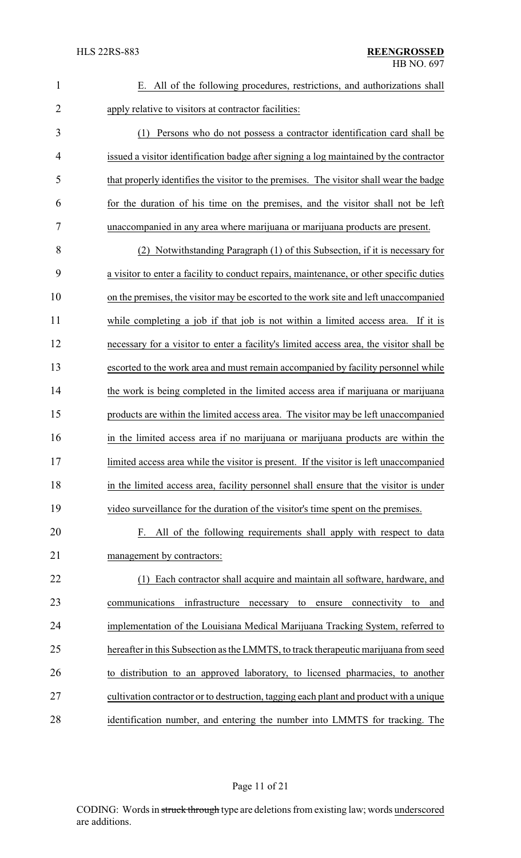| $\mathbf{1}$   | E. All of the following procedures, restrictions, and authorizations shall              |
|----------------|-----------------------------------------------------------------------------------------|
| $\overline{2}$ | apply relative to visitors at contractor facilities:                                    |
| 3              | Persons who do not possess a contractor identification card shall be<br>(1)             |
| 4              | issued a visitor identification badge after signing a log maintained by the contractor  |
| 5              | that properly identifies the visitor to the premises. The visitor shall wear the badge  |
| 6              | for the duration of his time on the premises, and the visitor shall not be left         |
| 7              | unaccompanied in any area where marijuana or marijuana products are present.            |
| 8              | (2) Notwithstanding Paragraph (1) of this Subsection, if it is necessary for            |
| 9              | a visitor to enter a facility to conduct repairs, maintenance, or other specific duties |
| 10             | on the premises, the visitor may be escorted to the work site and left unaccompanied    |
| 11             | while completing a job if that job is not within a limited access area. If it is        |
| 12             | necessary for a visitor to enter a facility's limited access area, the visitor shall be |
| 13             | escorted to the work area and must remain accompanied by facility personnel while       |
| 14             | the work is being completed in the limited access area if marijuana or marijuana        |
| 15             | products are within the limited access area. The visitor may be left unaccompanied      |
| 16             | in the limited access area if no marijuana or marijuana products are within the         |
| 17             | limited access area while the visitor is present. If the visitor is left unaccompanied  |
| 18             | in the limited access area, facility personnel shall ensure that the visitor is under   |
| 19             | video surveillance for the duration of the visitor's time spent on the premises.        |
| 20             | F. All of the following requirements shall apply with respect to data                   |
| 21             | management by contractors:                                                              |
| 22             | Each contractor shall acquire and maintain all software, hardware, and<br>(1)           |
| 23             | infrastructure<br>communications<br>necessary to ensure<br>connectivity<br>and<br>to    |
| 24             | implementation of the Louisiana Medical Marijuana Tracking System, referred to          |
| 25             | hereafter in this Subsection as the LMMTS, to track therapeutic marijuana from seed     |
| 26             | to distribution to an approved laboratory, to licensed pharmacies, to another           |
| 27             | cultivation contractor or to destruction, tagging each plant and product with a unique  |
| 28             | identification number, and entering the number into LMMTS for tracking. The             |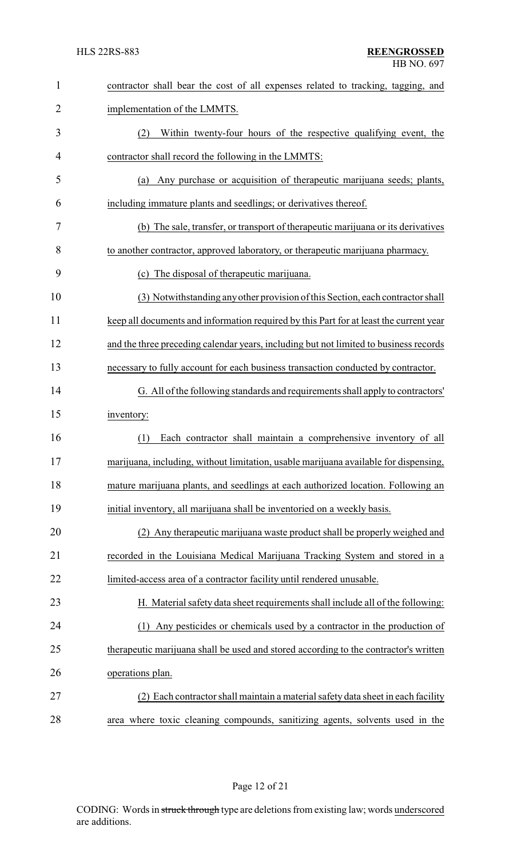| $\mathbf{1}$ | contractor shall bear the cost of all expenses related to tracking, tagging, and       |
|--------------|----------------------------------------------------------------------------------------|
| 2            | implementation of the LMMTS.                                                           |
| 3            | Within twenty-four hours of the respective qualifying event, the<br>(2)                |
| 4            | contractor shall record the following in the LMMTS:                                    |
| 5            | (a) Any purchase or acquisition of therapeutic marijuana seeds; plants,                |
| 6            | including immature plants and seedlings; or derivatives thereof.                       |
| 7            | (b) The sale, transfer, or transport of the rapeutic marijuana or its derivatives      |
| 8            | to another contractor, approved laboratory, or therapeutic marijuana pharmacy.         |
| 9            | (c) The disposal of the rapeutic marijuana.                                            |
| 10           | (3) Notwithstanding any other provision of this Section, each contractor shall         |
| 11           | keep all documents and information required by this Part for at least the current year |
| 12           | and the three preceding calendar years, including but not limited to business records  |
| 13           | necessary to fully account for each business transaction conducted by contractor.      |
| 14           | G. All of the following standards and requirements shall apply to contractors'         |
| 15           | inventory:                                                                             |
| 16           | (1)<br>Each contractor shall maintain a comprehensive inventory of all                 |
| 17           | marijuana, including, without limitation, usable marijuana available for dispensing,   |
| 18           | mature marijuana plants, and seedlings at each authorized location. Following an       |
| 19           | initial inventory, all marijuana shall be inventoried on a weekly basis.               |
| 20           | (2) Any therapeutic marijuana waste product shall be properly weighed and              |
| 21           | recorded in the Louisiana Medical Marijuana Tracking System and stored in a            |
| 22           | limited-access area of a contractor facility until rendered unusable.                  |
| 23           | H. Material safety data sheet requirements shall include all of the following:         |
| 24           | (1) Any pesticides or chemicals used by a contractor in the production of              |
| 25           | therapeutic marijuana shall be used and stored according to the contractor's written   |
| 26           | operations plan.                                                                       |
| 27           | (2) Each contractor shall maintain a material safety data sheet in each facility       |
| 28           | area where toxic cleaning compounds, sanitizing agents, solvents used in the           |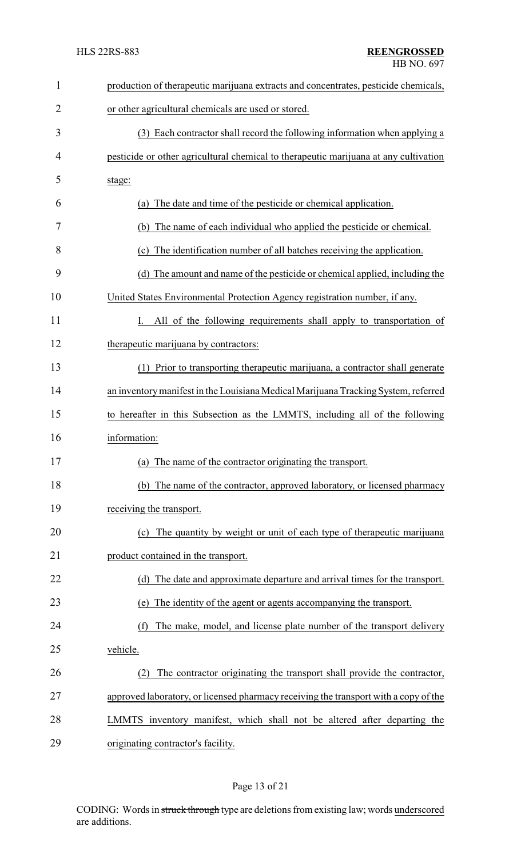| $\mathbf{1}$   | production of therapeutic marijuana extracts and concentrates, pesticide chemicals,  |
|----------------|--------------------------------------------------------------------------------------|
| $\overline{2}$ | or other agricultural chemicals are used or stored.                                  |
| 3              | (3) Each contractor shall record the following information when applying a           |
| 4              | pesticide or other agricultural chemical to therapeutic marijuana at any cultivation |
| 5              | stage:                                                                               |
| 6              | The date and time of the pesticide or chemical application.<br>(a)                   |
| 7              | The name of each individual who applied the pesticide or chemical.<br>(b)            |
| 8              | The identification number of all batches receiving the application.<br>(c)           |
| 9              | The amount and name of the pesticide or chemical applied, including the<br>(d)       |
| 10             | United States Environmental Protection Agency registration number, if any.           |
| 11             | All of the following requirements shall apply to transportation of                   |
| 12             | therapeutic marijuana by contractors:                                                |
| 13             | Prior to transporting therapeutic marijuana, a contractor shall generate<br>(1)      |
| 14             | an inventory manifest in the Louisiana Medical Marijuana Tracking System, referred   |
| 15             | to hereafter in this Subsection as the LMMTS, including all of the following         |
| 16             | information:                                                                         |
| 17             | (a) The name of the contractor originating the transport.                            |
| 18             | (b) The name of the contractor, approved laboratory, or licensed pharmacy            |
| 19             | receiving the transport.                                                             |
| 20             | (c) The quantity by weight or unit of each type of therapeutic marijuana             |
| 21             | product contained in the transport.                                                  |
| 22             | (d) The date and approximate departure and arrival times for the transport.          |
| 23             | The identity of the agent or agents accompanying the transport.<br>(e)               |
| 24             | The make, model, and license plate number of the transport delivery<br>(f)           |
| 25             | vehicle.                                                                             |
| 26             | The contractor originating the transport shall provide the contractor,<br>(2)        |
| 27             | approved laboratory, or licensed pharmacy receiving the transport with a copy of the |
| 28             | LMMTS inventory manifest, which shall not be altered after departing the             |
| 29             | originating contractor's facility.                                                   |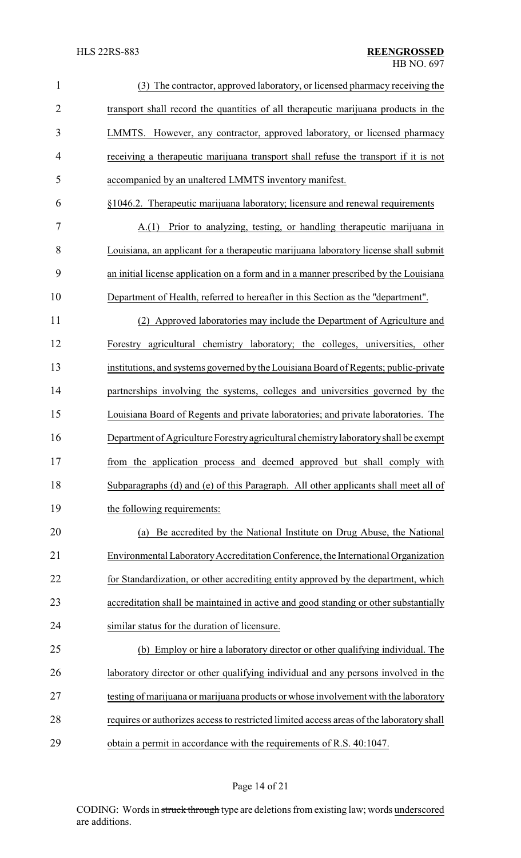| $\mathbf{1}$   | The contractor, approved laboratory, or licensed pharmacy receiving the                  |
|----------------|------------------------------------------------------------------------------------------|
| $\overline{2}$ | transport shall record the quantities of all therapeutic marijuana products in the       |
| 3              | LMMTS. However, any contractor, approved laboratory, or licensed pharmacy                |
| $\overline{4}$ | receiving a therapeutic marijuana transport shall refuse the transport if it is not      |
| 5              | accompanied by an unaltered LMMTS inventory manifest.                                    |
| 6              | §1046.2. Therapeutic marijuana laboratory; licensure and renewal requirements            |
| 7              | Prior to analyzing, testing, or handling therapeutic marijuana in<br>A(1)                |
| 8              | Louisiana, an applicant for a therapeutic marijuana laboratory license shall submit      |
| 9              | an initial license application on a form and in a manner prescribed by the Louisiana     |
| 10             | Department of Health, referred to hereafter in this Section as the "department".         |
| 11             | (2) Approved laboratories may include the Department of Agriculture and                  |
| 12             | Forestry agricultural chemistry laboratory; the colleges, universities, other            |
| 13             | institutions, and systems governed by the Louisiana Board of Regents; public-private     |
| 14             | partnerships involving the systems, colleges and universities governed by the            |
| 15             | Louisiana Board of Regents and private laboratories; and private laboratories. The       |
| 16             | Department of Agriculture Forestry agricultural chemistry laboratory shall be exempt     |
| 17             | from the application process and deemed approved but shall comply with                   |
| 18             | Subparagraphs (d) and (e) of this Paragraph. All other applicants shall meet all of      |
| 19             | the following requirements:                                                              |
| 20             | Be accredited by the National Institute on Drug Abuse, the National<br>(a)               |
| 21             | Environmental Laboratory Accreditation Conference, the International Organization        |
| 22             | for Standardization, or other accrediting entity approved by the department, which       |
| 23             | accreditation shall be maintained in active and good standing or other substantially     |
| 24             | similar status for the duration of licensure.                                            |
| 25             | (b) Employ or hire a laboratory director or other qualifying individual. The             |
| 26             | laboratory director or other qualifying individual and any persons involved in the       |
| 27             | testing of marijuana or marijuana products or whose involvement with the laboratory      |
| 28             | requires or authorizes access to restricted limited access areas of the laboratory shall |
| 29             | obtain a permit in accordance with the requirements of R.S. 40:1047.                     |

# Page 14 of 21

CODING: Words in struck through type are deletions from existing law; words underscored are additions.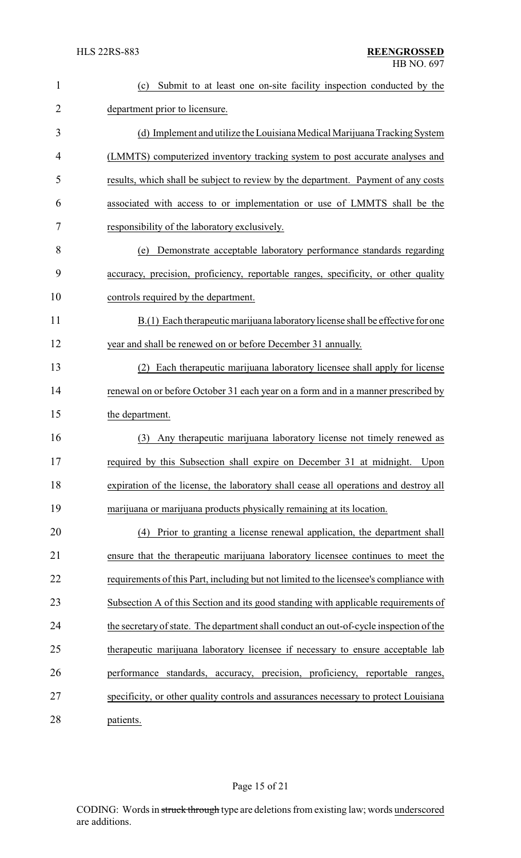| $\mathbf{1}$   | Submit to at least one on-site facility inspection conducted by the<br>(c)             |
|----------------|----------------------------------------------------------------------------------------|
| $\overline{2}$ | department prior to licensure.                                                         |
| 3              | (d) Implement and utilize the Louisiana Medical Marijuana Tracking System              |
| 4              | (LMMTS) computerized inventory tracking system to post accurate analyses and           |
| 5              | results, which shall be subject to review by the department. Payment of any costs      |
| 6              | associated with access to or implementation or use of LMMTS shall be the               |
| 7              | responsibility of the laboratory exclusively.                                          |
| 8              | Demonstrate acceptable laboratory performance standards regarding<br>(e)               |
| 9              | accuracy, precision, proficiency, reportable ranges, specificity, or other quality     |
| 10             | controls required by the department.                                                   |
| 11             | B.(1) Each therapeutic marijuana laboratory license shall be effective for one         |
| 12             | year and shall be renewed on or before December 31 annually.                           |
| 13             | (2) Each therapeutic marijuana laboratory licensee shall apply for license             |
| 14             | renewal on or before October 31 each year on a form and in a manner prescribed by      |
| 15             | the department.                                                                        |
| 16             | Any therapeutic marijuana laboratory license not timely renewed as<br>(3)              |
| 17             | required by this Subsection shall expire on December 31 at midnight.<br>Upon           |
| 18             | expiration of the license, the laboratory shall cease all operations and destroy all   |
| 19             | marijuana or marijuana products physically remaining at its location.                  |
| 20             | Prior to granting a license renewal application, the department shall<br>(4)           |
| 21             | ensure that the therapeutic marijuana laboratory licensee continues to meet the        |
| 22             | requirements of this Part, including but not limited to the licensee's compliance with |
| 23             | Subsection A of this Section and its good standing with applicable requirements of     |
| 24             | the secretary of state. The department shall conduct an out-of-cycle inspection of the |
| 25             | therapeutic marijuana laboratory licensee if necessary to ensure acceptable lab        |
| 26             | performance standards, accuracy, precision, proficiency, reportable ranges,            |
| 27             | specificity, or other quality controls and assurances necessary to protect Louisiana   |
| 28             | patients.                                                                              |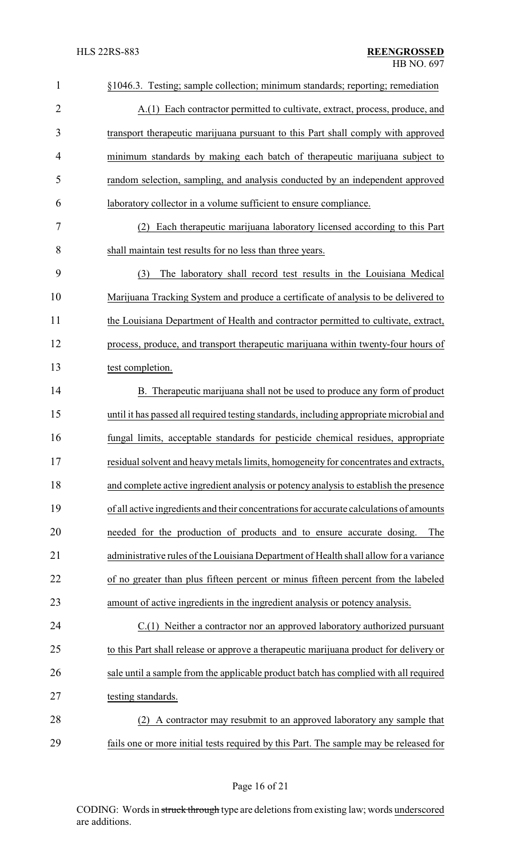| $\mathbf{1}$   | §1046.3. Testing; sample collection; minimum standards; reporting; remediation          |
|----------------|-----------------------------------------------------------------------------------------|
| $\overline{2}$ | A.(1) Each contractor permitted to cultivate, extract, process, produce, and            |
| 3              | transport therapeutic marijuana pursuant to this Part shall comply with approved        |
| 4              | minimum standards by making each batch of therapeutic marijuana subject to              |
| 5              | random selection, sampling, and analysis conducted by an independent approved           |
| 6              | laboratory collector in a volume sufficient to ensure compliance.                       |
| 7              | Each therapeutic marijuana laboratory licensed according to this Part<br>(2)            |
| 8              | shall maintain test results for no less than three years.                               |
| 9              | The laboratory shall record test results in the Louisiana Medical<br>(3)                |
| 10             | Marijuana Tracking System and produce a certificate of analysis to be delivered to      |
| 11             | the Louisiana Department of Health and contractor permitted to cultivate, extract,      |
| 12             | process, produce, and transport therapeutic marijuana within twenty-four hours of       |
| 13             | test completion.                                                                        |
| 14             | B. Therapeutic marijuana shall not be used to produce any form of product               |
| 15             | until it has passed all required testing standards, including appropriate microbial and |
| 16             | fungal limits, acceptable standards for pesticide chemical residues, appropriate        |
| 17             | residual solvent and heavy metals limits, homogeneity for concentrates and extracts.    |
| 18             | and complete active ingredient analysis or potency analysis to establish the presence   |
| 19             | of all active ingredients and their concentrations for accurate calculations of amounts |
| 20             | needed for the production of products and to ensure accurate dosing.<br>The             |
| 21             | administrative rules of the Louisiana Department of Health shall allow for a variance   |
| 22             | of no greater than plus fifteen percent or minus fifteen percent from the labeled       |
| 23             | amount of active ingredients in the ingredient analysis or potency analysis.            |
| 24             | C.(1) Neither a contractor nor an approved laboratory authorized pursuant               |
| 25             | to this Part shall release or approve a therapeutic marijuana product for delivery or   |
| 26             | sale until a sample from the applicable product batch has complied with all required    |
| 27             | testing standards.                                                                      |
| 28             | A contractor may resubmit to an approved laboratory any sample that                     |
| 29             | fails one or more initial tests required by this Part. The sample may be released for   |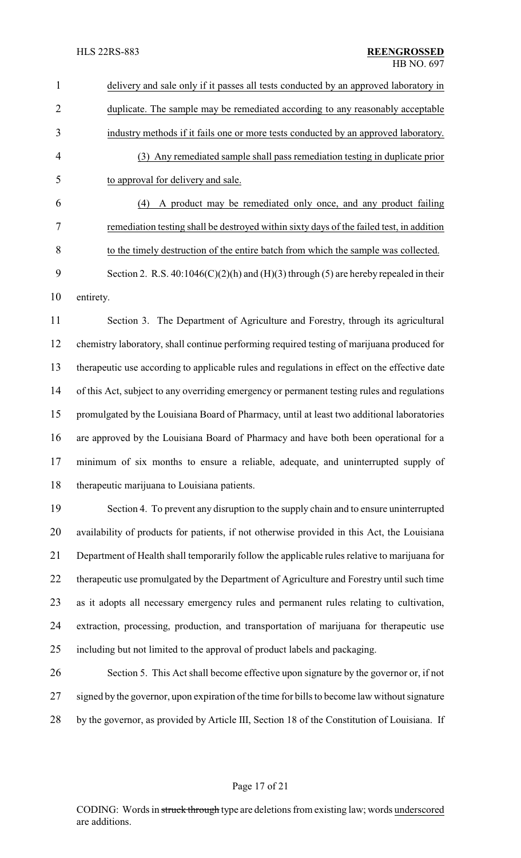| $\mathbf{1}$   | delivery and sale only if it passes all tests conducted by an approved laboratory in          |
|----------------|-----------------------------------------------------------------------------------------------|
| $\overline{2}$ | duplicate. The sample may be remediated according to any reasonably acceptable                |
| 3              | industry methods if it fails one or more tests conducted by an approved laboratory.           |
| $\overline{4}$ | (3) Any remediated sample shall pass remediation testing in duplicate prior                   |
| 5              | to approval for delivery and sale.                                                            |
| 6              | A product may be remediated only once, and any product failing<br>(4)                         |
| 7              | remediation testing shall be destroyed within sixty days of the failed test, in addition      |
| $8\,$          | to the timely destruction of the entire batch from which the sample was collected.            |
| 9              | Section 2. R.S. 40:1046(C)(2)(h) and (H)(3) through (5) are hereby repealed in their          |
| 10             | entirety.                                                                                     |
| 11             | Section 3. The Department of Agriculture and Forestry, through its agricultural               |
| 12             | chemistry laboratory, shall continue performing required testing of marijuana produced for    |
| 13             | therapeutic use according to applicable rules and regulations in effect on the effective date |
| 14             | of this Act, subject to any overriding emergency or permanent testing rules and regulations   |
| 15             | promulgated by the Louisiana Board of Pharmacy, until at least two additional laboratories    |
| 16             | are approved by the Louisiana Board of Pharmacy and have both been operational for a          |
| 17             | minimum of six months to ensure a reliable, adequate, and uninterrupted supply of             |
| 18             | therapeutic marijuana to Louisiana patients.                                                  |
| 19             | Section 4. To prevent any disruption to the supply chain and to ensure uninterrupted          |
| 20             | availability of products for patients, if not otherwise provided in this Act, the Louisiana   |
| 21             | Department of Health shall temporarily follow the applicable rules relative to marijuana for  |
| 22             | therapeutic use promulgated by the Department of Agriculture and Forestry until such time     |
| 23             | as it adopts all necessary emergency rules and permanent rules relating to cultivation,       |
| 24             | extraction, processing, production, and transportation of marijuana for therapeutic use       |
| 25             | including but not limited to the approval of product labels and packaging.                    |
| 26             | Section 5. This Act shall become effective upon signature by the governor or, if not          |
| 27             | signed by the governor, upon expiration of the time for bills to become law without signature |
| 28             | by the governor, as provided by Article III, Section 18 of the Constitution of Louisiana. If  |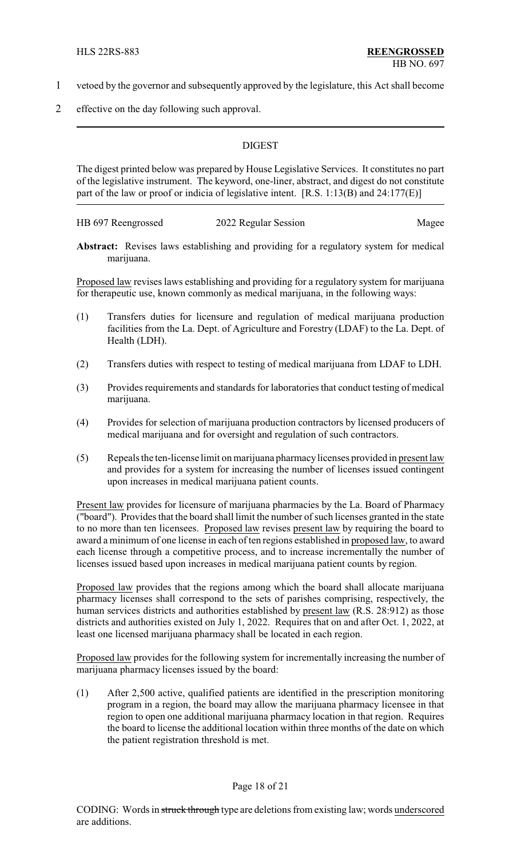- 1 vetoed by the governor and subsequently approved by the legislature, this Act shall become
- 2 effective on the day following such approval.

## **DIGEST**

The digest printed below was prepared by House Legislative Services. It constitutes no part of the legislative instrument. The keyword, one-liner, abstract, and digest do not constitute part of the law or proof or indicia of legislative intent. [R.S. 1:13(B) and 24:177(E)]

HB 697 Reengrossed 2022 Regular Session Magee

**Abstract:** Revises laws establishing and providing for a regulatory system for medical marijuana.

Proposed law revises laws establishing and providing for a regulatory system for marijuana for therapeutic use, known commonly as medical marijuana, in the following ways:

- (1) Transfers duties for licensure and regulation of medical marijuana production facilities from the La. Dept. of Agriculture and Forestry (LDAF) to the La. Dept. of Health (LDH).
- (2) Transfers duties with respect to testing of medical marijuana from LDAF to LDH.
- (3) Provides requirements and standards for laboratories that conduct testing of medical marijuana.
- (4) Provides for selection of marijuana production contractors by licensed producers of medical marijuana and for oversight and regulation of such contractors.
- (5) Repeals the ten-license limit on marijuana pharmacylicenses provided in present law and provides for a system for increasing the number of licenses issued contingent upon increases in medical marijuana patient counts.

Present law provides for licensure of marijuana pharmacies by the La. Board of Pharmacy ("board"). Provides that the board shall limit the number of such licenses granted in the state to no more than ten licensees. Proposed law revises present law by requiring the board to award a minimum of one license in each of ten regions established in proposed law, to award each license through a competitive process, and to increase incrementally the number of licenses issued based upon increases in medical marijuana patient counts by region.

Proposed law provides that the regions among which the board shall allocate marijuana pharmacy licenses shall correspond to the sets of parishes comprising, respectively, the human services districts and authorities established by present law (R.S. 28:912) as those districts and authorities existed on July 1, 2022. Requires that on and after Oct. 1, 2022, at least one licensed marijuana pharmacy shall be located in each region.

Proposed law provides for the following system for incrementally increasing the number of marijuana pharmacy licenses issued by the board:

(1) After 2,500 active, qualified patients are identified in the prescription monitoring program in a region, the board may allow the marijuana pharmacy licensee in that region to open one additional marijuana pharmacy location in that region. Requires the board to license the additional location within three months of the date on which the patient registration threshold is met.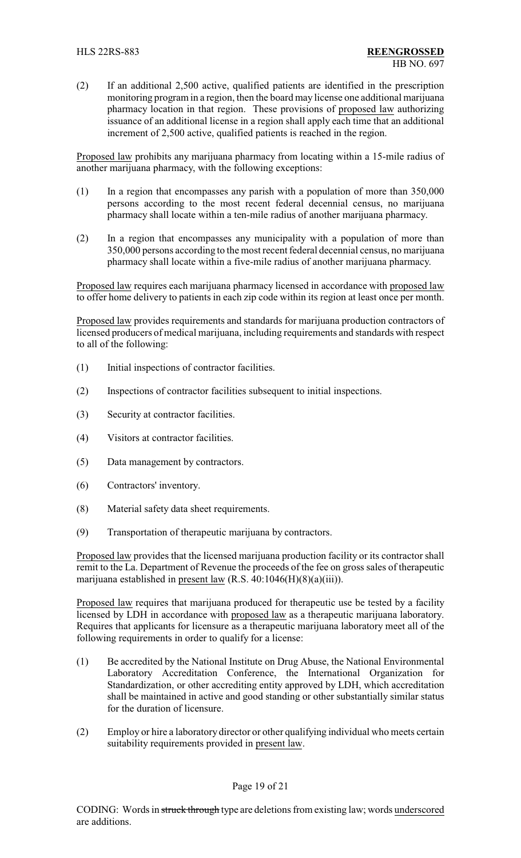(2) If an additional 2,500 active, qualified patients are identified in the prescription monitoring program in a region, then the board may license one additional marijuana pharmacy location in that region. These provisions of proposed law authorizing issuance of an additional license in a region shall apply each time that an additional increment of 2,500 active, qualified patients is reached in the region.

Proposed law prohibits any marijuana pharmacy from locating within a 15-mile radius of another marijuana pharmacy, with the following exceptions:

- (1) In a region that encompasses any parish with a population of more than 350,000 persons according to the most recent federal decennial census, no marijuana pharmacy shall locate within a ten-mile radius of another marijuana pharmacy.
- (2) In a region that encompasses any municipality with a population of more than 350,000 persons according to the most recent federal decennial census, no marijuana pharmacy shall locate within a five-mile radius of another marijuana pharmacy.

Proposed law requires each marijuana pharmacy licensed in accordance with proposed law to offer home delivery to patients in each zip code within its region at least once per month.

Proposed law provides requirements and standards for marijuana production contractors of licensed producers of medical marijuana, including requirements and standards with respect to all of the following:

- (1) Initial inspections of contractor facilities.
- (2) Inspections of contractor facilities subsequent to initial inspections.
- (3) Security at contractor facilities.
- (4) Visitors at contractor facilities.
- (5) Data management by contractors.
- (6) Contractors' inventory.
- (8) Material safety data sheet requirements.
- (9) Transportation of therapeutic marijuana by contractors.

Proposed law provides that the licensed marijuana production facility or its contractor shall remit to the La. Department of Revenue the proceeds of the fee on gross sales of therapeutic marijuana established in present law (R.S. 40:1046(H)(8)(a)(iii)).

Proposed law requires that marijuana produced for therapeutic use be tested by a facility licensed by LDH in accordance with proposed law as a therapeutic marijuana laboratory. Requires that applicants for licensure as a therapeutic marijuana laboratory meet all of the following requirements in order to qualify for a license:

- (1) Be accredited by the National Institute on Drug Abuse, the National Environmental Laboratory Accreditation Conference, the International Organization for Standardization, or other accrediting entity approved by LDH, which accreditation shall be maintained in active and good standing or other substantially similar status for the duration of licensure.
- (2) Employ or hire a laboratory director or other qualifying individual who meets certain suitability requirements provided in present law.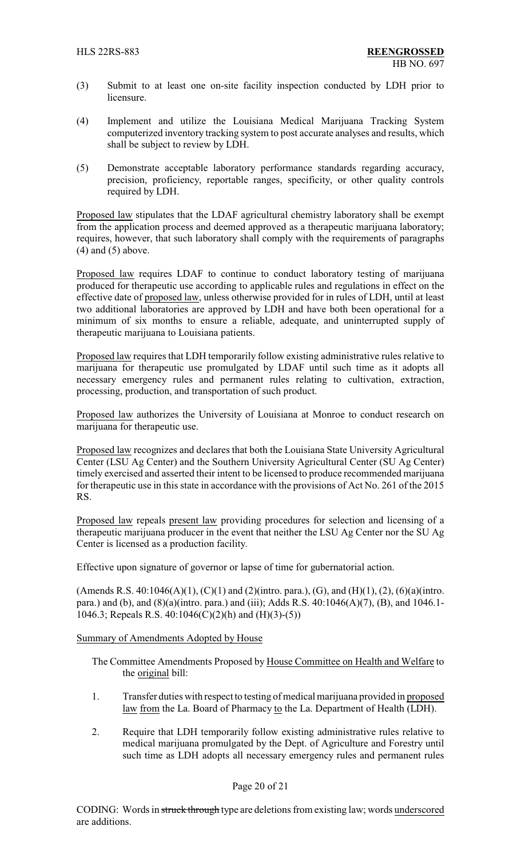- (3) Submit to at least one on-site facility inspection conducted by LDH prior to licensure.
- (4) Implement and utilize the Louisiana Medical Marijuana Tracking System computerized inventory tracking system to post accurate analyses and results, which shall be subject to review by LDH.
- (5) Demonstrate acceptable laboratory performance standards regarding accuracy, precision, proficiency, reportable ranges, specificity, or other quality controls required by LDH.

Proposed law stipulates that the LDAF agricultural chemistry laboratory shall be exempt from the application process and deemed approved as a therapeutic marijuana laboratory; requires, however, that such laboratory shall comply with the requirements of paragraphs  $(4)$  and  $(5)$  above.

Proposed law requires LDAF to continue to conduct laboratory testing of marijuana produced for therapeutic use according to applicable rules and regulations in effect on the effective date of proposed law, unless otherwise provided for in rules of LDH, until at least two additional laboratories are approved by LDH and have both been operational for a minimum of six months to ensure a reliable, adequate, and uninterrupted supply of therapeutic marijuana to Louisiana patients.

Proposed law requires that LDH temporarily follow existing administrative rules relative to marijuana for therapeutic use promulgated by LDAF until such time as it adopts all necessary emergency rules and permanent rules relating to cultivation, extraction, processing, production, and transportation of such product.

Proposed law authorizes the University of Louisiana at Monroe to conduct research on marijuana for therapeutic use.

Proposed law recognizes and declares that both the Louisiana State University Agricultural Center (LSU Ag Center) and the Southern University Agricultural Center (SU Ag Center) timely exercised and asserted their intent to be licensed to produce recommended marijuana for therapeutic use in this state in accordance with the provisions of Act No. 261 of the 2015 RS.

Proposed law repeals present law providing procedures for selection and licensing of a therapeutic marijuana producer in the event that neither the LSU Ag Center nor the SU Ag Center is licensed as a production facility.

Effective upon signature of governor or lapse of time for gubernatorial action.

(Amends R.S. 40:1046(A)(1), (C)(1) and (2)(intro. para.), (G), and (H)(1), (2), (6)(a)(intro. para.) and (b), and (8)(a)(intro. para.) and (iii); Adds R.S. 40:1046(A)(7), (B), and 1046.1- 1046.3; Repeals R.S. 40:1046(C)(2)(h) and (H)(3)-(5))

#### Summary of Amendments Adopted by House

The Committee Amendments Proposed by House Committee on Health and Welfare to the original bill:

- 1. Transfer duties with respect to testing of medical marijuana provided in proposed law from the La. Board of Pharmacy to the La. Department of Health (LDH).
- 2. Require that LDH temporarily follow existing administrative rules relative to medical marijuana promulgated by the Dept. of Agriculture and Forestry until such time as LDH adopts all necessary emergency rules and permanent rules